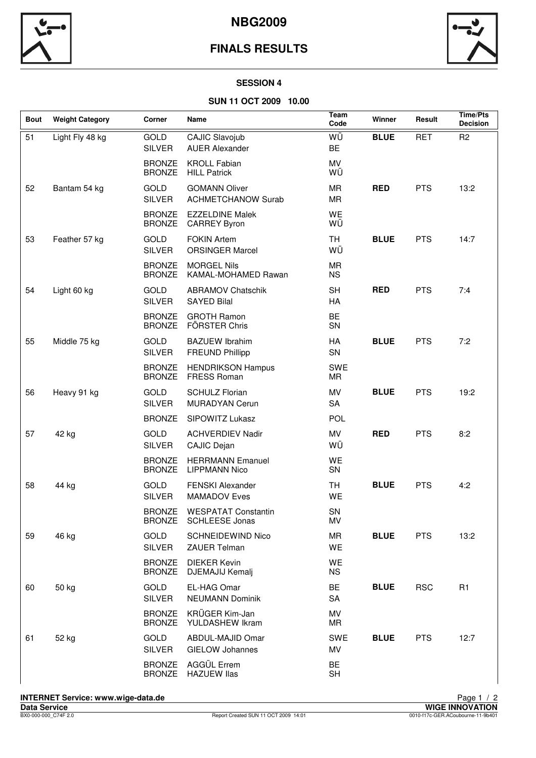

## **FINALS RESULTS**



#### **SESSION 4**

#### **SUN 11 OCT 2009 10.00**

| <b>Bout</b> | <b>Weight Category</b> | Corner                         | Name                                                | Team<br>Code            | Winner      | Result     | <b>Time/Pts</b><br><b>Decision</b> |
|-------------|------------------------|--------------------------------|-----------------------------------------------------|-------------------------|-------------|------------|------------------------------------|
| 51          | Light Fly 48 kg        | GOLD<br><b>SILVER</b>          | <b>CAJIC Slavojub</b><br><b>AUER Alexander</b>      | WÜ<br><b>BE</b>         | <b>BLUE</b> | <b>RET</b> | R <sub>2</sub>                     |
|             |                        | <b>BRONZE</b><br><b>BRONZE</b> | <b>KROLL Fabian</b><br><b>HILL Patrick</b>          | MV<br>WÜ                |             |            |                                    |
| 52          | Bantam 54 kg           | GOLD<br><b>SILVER</b>          | <b>GOMANN Oliver</b><br><b>ACHMETCHANOW Surab</b>   | MR<br>MR                | <b>RED</b>  | <b>PTS</b> | 13:2                               |
|             |                        | <b>BRONZE</b><br><b>BRONZE</b> | <b>EZZELDINE Malek</b><br><b>CARREY Byron</b>       | WE<br>WÜ                |             |            |                                    |
| 53          | Feather 57 kg          | GOLD<br><b>SILVER</b>          | <b>FOKIN Artem</b><br><b>ORSINGER Marcel</b>        | <b>TH</b><br>WÜ         | <b>BLUE</b> | <b>PTS</b> | 14:7                               |
|             |                        | <b>BRONZE</b><br><b>BRONZE</b> | <b>MORGEL Nils</b><br>KAMAL-MOHAMED Rawan           | <b>MR</b><br><b>NS</b>  |             |            |                                    |
| 54          | Light 60 kg            | GOLD<br><b>SILVER</b>          | <b>ABRAMOV Chatschik</b><br><b>SAYED Bilal</b>      | <b>SH</b><br>HA         | <b>RED</b>  | <b>PTS</b> | 7:4                                |
|             |                        | <b>BRONZE</b><br><b>BRONZE</b> | <b>GROTH Ramon</b><br>FÖRSTER Chris                 | BE<br>SN                |             |            |                                    |
| 55          | Middle 75 kg           | GOLD<br><b>SILVER</b>          | <b>BAZUEW Ibrahim</b><br><b>FREUND Phillipp</b>     | HA<br>SN                | <b>BLUE</b> | <b>PTS</b> | 7:2                                |
|             |                        | <b>BRONZE</b><br><b>BRONZE</b> | <b>HENDRIKSON Hampus</b><br><b>FRESS Roman</b>      | <b>SWE</b><br><b>MR</b> |             |            |                                    |
| 56          | Heavy 91 kg            | GOLD<br><b>SILVER</b>          | <b>SCHULZ Florian</b><br>MURADYAN Cerun             | MV<br><b>SA</b>         | <b>BLUE</b> | <b>PTS</b> | 19:2                               |
|             |                        | <b>BRONZE</b>                  | SIPOWITZ Lukasz                                     | POL                     |             |            |                                    |
| 57          | 42 kg                  | GOLD<br><b>SILVER</b>          | <b>ACHVERDIEV Nadir</b><br>CAJIC Dejan              | MV<br>WÜ                | <b>RED</b>  | <b>PTS</b> | 8:2                                |
|             |                        | <b>BRONZE</b><br><b>BRONZE</b> | <b>HERRMANN Emanuel</b><br><b>LIPPMANN Nico</b>     | WE<br>SN                |             |            |                                    |
| 58          | 44 kg                  | GOLD<br><b>SILVER</b>          | <b>FENSKI Alexander</b><br><b>MAMADOV Eves</b>      | <b>TH</b><br>WE         | <b>BLUE</b> | <b>PTS</b> | 4:2                                |
|             |                        | <b>BRONZE</b><br><b>BRONZE</b> | <b>WESPATAT Constantin</b><br><b>SCHLEESE Jonas</b> | <b>SN</b><br>MV         |             |            |                                    |
| 59          | 46 kg                  | GOLD<br><b>SILVER</b>          | <b>SCHNEIDEWIND Nico</b><br><b>ZAUER Telman</b>     | MR<br>WE                | <b>BLUE</b> | <b>PTS</b> | 13:2                               |
|             |                        | <b>BRONZE</b><br><b>BRONZE</b> | <b>DIEKER Kevin</b><br>DJEMAJIJ Kemalj              | WE<br><b>NS</b>         |             |            |                                    |
| 60          | 50 kg                  | GOLD<br><b>SILVER</b>          | EL-HAG Omar<br><b>NEUMANN Dominik</b>               | BE<br><b>SA</b>         | <b>BLUE</b> | <b>RSC</b> | R <sub>1</sub>                     |
|             |                        | <b>BRONZE</b><br><b>BRONZE</b> | KRÜGER Kim-Jan<br>YULDASHEW Ikram                   | MV<br>MR                |             |            |                                    |
| 61          | 52 kg                  | GOLD<br><b>SILVER</b>          | ABDUL-MAJID Omar<br><b>GIELOW Johannes</b>          | <b>SWE</b><br>MV        | <b>BLUE</b> | <b>PTS</b> | 12:7                               |
|             |                        | <b>BRONZE</b><br><b>BRONZE</b> | AGGÜL Errem<br><b>HAZUEW llas</b>                   | BE<br><b>SH</b>         |             |            |                                    |